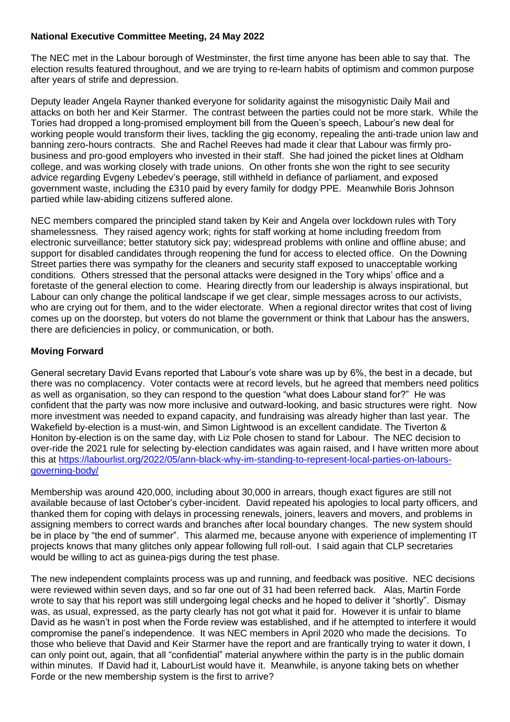## **National Executive Committee Meeting, 24 May 2022**

The NEC met in the Labour borough of Westminster, the first time anyone has been able to say that. The election results featured throughout, and we are trying to re-learn habits of optimism and common purpose after years of strife and depression.

Deputy leader Angela Rayner thanked everyone for solidarity against the misogynistic Daily Mail and attacks on both her and Keir Starmer. The contrast between the parties could not be more stark. While the Tories had dropped a long-promised employment bill from the Queen's speech, Labour's new deal for working people would transform their lives, tackling the gig economy, repealing the anti-trade union law and banning zero-hours contracts. She and Rachel Reeves had made it clear that Labour was firmly probusiness and pro-good employers who invested in their staff. She had joined the picket lines at Oldham college, and was working closely with trade unions. On other fronts she won the right to see security advice regarding Evgeny Lebedev's peerage, still withheld in defiance of parliament, and exposed government waste, including the £310 paid by every family for dodgy PPE. Meanwhile Boris Johnson partied while law-abiding citizens suffered alone.

NEC members compared the principled stand taken by Keir and Angela over lockdown rules with Tory shamelessness. They raised agency work; rights for staff working at home including freedom from electronic surveillance; better statutory sick pay; widespread problems with online and offline abuse; and support for disabled candidates through reopening the fund for access to elected office. On the Downing Street parties there was sympathy for the cleaners and security staff exposed to unacceptable working conditions. Others stressed that the personal attacks were designed in the Tory whips' office and a foretaste of the general election to come. Hearing directly from our leadership is always inspirational, but Labour can only change the political landscape if we get clear, simple messages across to our activists, who are crying out for them, and to the wider electorate. When a regional director writes that cost of living comes up on the doorstep, but voters do not blame the government or think that Labour has the answers, there are deficiencies in policy, or communication, or both.

# **Moving Forward**

General secretary David Evans reported that Labour's vote share was up by 6%, the best in a decade, but there was no complacency. Voter contacts were at record levels, but he agreed that members need politics as well as organisation, so they can respond to the question "what does Labour stand for?" He was confident that the party was now more inclusive and outward-looking, and basic structures were right. Now more investment was needed to expand capacity, and fundraising was already higher than last year. The Wakefield by-election is a must-win, and Simon Lightwood is an excellent candidate. The Tiverton & Honiton by-election is on the same day, with Liz Pole chosen to stand for Labour. The NEC decision to over-ride the 2021 rule for selecting by-election candidates was again raised, and I have written more about this at [https://labourlist.org/2022/05/ann-black-why-im-standing-to-represent-local-parties-on-labours](https://labourlist.org/2022/05/ann-black-why-im-standing-to-represent-local-parties-on-labours-governing-body/)[governing-body/](https://labourlist.org/2022/05/ann-black-why-im-standing-to-represent-local-parties-on-labours-governing-body/)

Membership was around 420,000, including about 30,000 in arrears, though exact figures are still not available because of last October's cyber-incident. David repeated his apologies to local party officers, and thanked them for coping with delays in processing renewals, joiners, leavers and movers, and problems in assigning members to correct wards and branches after local boundary changes. The new system should be in place by "the end of summer". This alarmed me, because anyone with experience of implementing IT projects knows that many glitches only appear following full roll-out. I said again that CLP secretaries would be willing to act as guinea-pigs during the test phase.

The new independent complaints process was up and running, and feedback was positive. NEC decisions were reviewed within seven days, and so far one out of 31 had been referred back. Alas, Martin Forde wrote to say that his report was still undergoing legal checks and he hoped to deliver it "shortly". Dismay was, as usual, expressed, as the party clearly has not got what it paid for. However it is unfair to blame David as he wasn't in post when the Forde review was established, and if he attempted to interfere it would compromise the panel's independence. It was NEC members in April 2020 who made the decisions. To those who believe that David and Keir Starmer have the report and are frantically trying to water it down, I can only point out, again, that all "confidential" material anywhere within the party is in the public domain within minutes. If David had it, LabourList would have it. Meanwhile, is anyone taking bets on whether Forde or the new membership system is the first to arrive?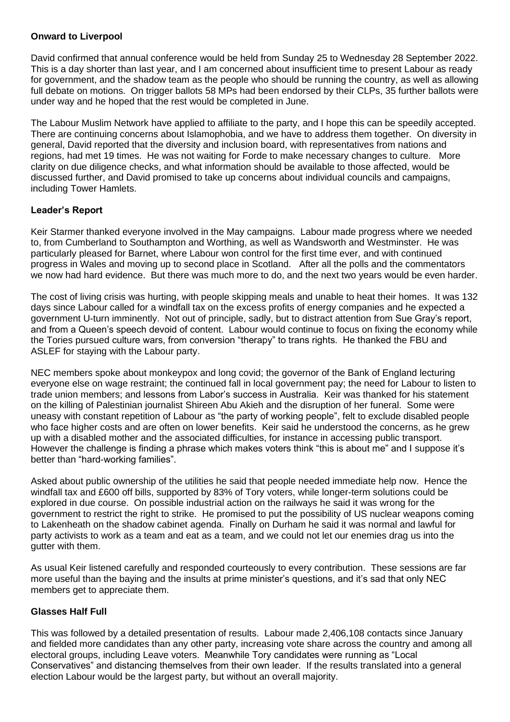## **Onward to Liverpool**

David confirmed that annual conference would be held from Sunday 25 to Wednesday 28 September 2022. This is a day shorter than last year, and I am concerned about insufficient time to present Labour as ready for government, and the shadow team as the people who should be running the country, as well as allowing full debate on motions. On trigger ballots 58 MPs had been endorsed by their CLPs, 35 further ballots were under way and he hoped that the rest would be completed in June.

The Labour Muslim Network have applied to affiliate to the party, and I hope this can be speedily accepted. There are continuing concerns about Islamophobia, and we have to address them together. On diversity in general, David reported that the diversity and inclusion board, with representatives from nations and regions, had met 19 times. He was not waiting for Forde to make necessary changes to culture. More clarity on due diligence checks, and what information should be available to those affected, would be discussed further, and David promised to take up concerns about individual councils and campaigns, including Tower Hamlets.

# **Leader's Report**

Keir Starmer thanked everyone involved in the May campaigns. Labour made progress where we needed to, from Cumberland to Southampton and Worthing, as well as Wandsworth and Westminster. He was particularly pleased for Barnet, where Labour won control for the first time ever, and with continued progress in Wales and moving up to second place in Scotland. After all the polls and the commentators we now had hard evidence. But there was much more to do, and the next two years would be even harder.

The cost of living crisis was hurting, with people skipping meals and unable to heat their homes. It was 132 days since Labour called for a windfall tax on the excess profits of energy companies and he expected a government U-turn imminently. Not out of principle, sadly, but to distract attention from Sue Gray's report, and from a Queen's speech devoid of content. Labour would continue to focus on fixing the economy while the Tories pursued culture wars, from conversion "therapy" to trans rights. He thanked the FBU and ASLEF for staying with the Labour party.

NEC members spoke about monkeypox and long covid; the governor of the Bank of England lecturing everyone else on wage restraint; the continued fall in local government pay; the need for Labour to listen to trade union members; and lessons from Labor's success in Australia. Keir was thanked for his statement on the killing of Palestinian journalist Shireen Abu Akieh and the disruption of her funeral. Some were uneasy with constant repetition of Labour as "the party of working people", felt to exclude disabled people who face higher costs and are often on lower benefits. Keir said he understood the concerns, as he grew up with a disabled mother and the associated difficulties, for instance in accessing public transport. However the challenge is finding a phrase which makes voters think "this is about me" and I suppose it's better than "hard-working families".

Asked about public ownership of the utilities he said that people needed immediate help now. Hence the windfall tax and £600 off bills, supported by 83% of Tory voters, while longer-term solutions could be explored in due course. On possible industrial action on the railways he said it was wrong for the government to restrict the right to strike. He promised to put the possibility of US nuclear weapons coming to Lakenheath on the shadow cabinet agenda. Finally on Durham he said it was normal and lawful for party activists to work as a team and eat as a team, and we could not let our enemies drag us into the gutter with them.

As usual Keir listened carefully and responded courteously to every contribution. These sessions are far more useful than the baying and the insults at prime minister's questions, and it's sad that only NEC members get to appreciate them.

### **Glasses Half Full**

This was followed by a detailed presentation of results. Labour made 2,406,108 contacts since January and fielded more candidates than any other party, increasing vote share across the country and among all electoral groups, including Leave voters. Meanwhile Tory candidates were running as "Local Conservatives" and distancing themselves from their own leader. If the results translated into a general election Labour would be the largest party, but without an overall majority.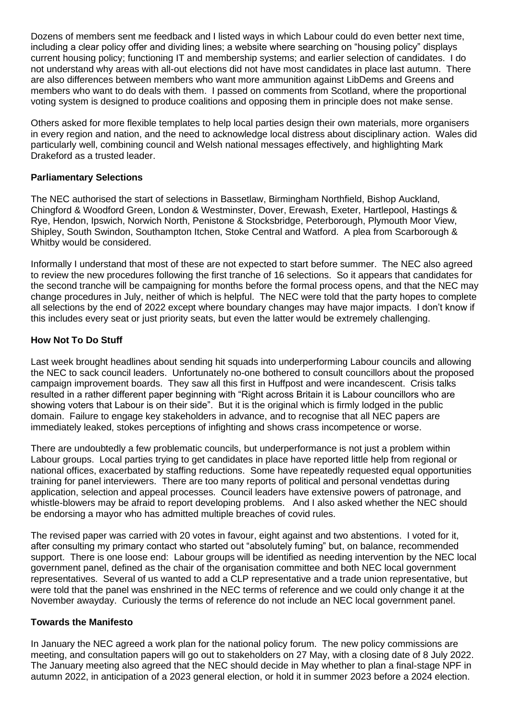Dozens of members sent me feedback and I listed ways in which Labour could do even better next time, including a clear policy offer and dividing lines; a website where searching on "housing policy" displays current housing policy; functioning IT and membership systems; and earlier selection of candidates. I do not understand why areas with all-out elections did not have most candidates in place last autumn. There are also differences between members who want more ammunition against LibDems and Greens and members who want to do deals with them. I passed on comments from Scotland, where the proportional voting system is designed to produce coalitions and opposing them in principle does not make sense.

Others asked for more flexible templates to help local parties design their own materials, more organisers in every region and nation, and the need to acknowledge local distress about disciplinary action. Wales did particularly well, combining council and Welsh national messages effectively, and highlighting Mark Drakeford as a trusted leader.

### **Parliamentary Selections**

The NEC authorised the start of selections in Bassetlaw, Birmingham Northfield, Bishop Auckland, Chingford & Woodford Green, London & Westminster, Dover, Erewash, Exeter, Hartlepool, Hastings & Rye, Hendon, Ipswich, Norwich North, Penistone & Stocksbridge, Peterborough, Plymouth Moor View, Shipley, South Swindon, Southampton Itchen, Stoke Central and Watford. A plea from Scarborough & Whitby would be considered.

Informally I understand that most of these are not expected to start before summer. The NEC also agreed to review the new procedures following the first tranche of 16 selections. So it appears that candidates for the second tranche will be campaigning for months before the formal process opens, and that the NEC may change procedures in July, neither of which is helpful. The NEC were told that the party hopes to complete all selections by the end of 2022 except where boundary changes may have major impacts. I don't know if this includes every seat or just priority seats, but even the latter would be extremely challenging.

## **How Not To Do Stuff**

Last week brought headlines about sending hit squads into underperforming Labour councils and allowing the NEC to sack council leaders. Unfortunately no-one bothered to consult councillors about the proposed campaign improvement boards. They saw all this first in Huffpost and were incandescent. Crisis talks resulted in a rather different paper beginning with "Right across Britain it is Labour councillors who are showing voters that Labour is on their side". But it is the original which is firmly lodged in the public domain. Failure to engage key stakeholders in advance, and to recognise that all NEC papers are immediately leaked, stokes perceptions of infighting and shows crass incompetence or worse.

There are undoubtedly a few problematic councils, but underperformance is not just a problem within Labour groups. Local parties trying to get candidates in place have reported little help from regional or national offices, exacerbated by staffing reductions. Some have repeatedly requested equal opportunities training for panel interviewers. There are too many reports of political and personal vendettas during application, selection and appeal processes. Council leaders have extensive powers of patronage, and whistle-blowers may be afraid to report developing problems. And I also asked whether the NEC should be endorsing a mayor who has admitted multiple breaches of covid rules.

The revised paper was carried with 20 votes in favour, eight against and two abstentions. I voted for it, after consulting my primary contact who started out "absolutely fuming" but, on balance, recommended support. There is one loose end: Labour groups will be identified as needing intervention by the NEC local government panel, defined as the chair of the organisation committee and both NEC local government representatives. Several of us wanted to add a CLP representative and a trade union representative, but were told that the panel was enshrined in the NEC terms of reference and we could only change it at the November awayday. Curiously the terms of reference do not include an NEC local government panel.

### **Towards the Manifesto**

In January the NEC agreed a work plan for the national policy forum. The new policy commissions are meeting, and consultation papers will go out to stakeholders on 27 May, with a closing date of 8 July 2022. The January meeting also agreed that the NEC should decide in May whether to plan a final-stage NPF in autumn 2022, in anticipation of a 2023 general election, or hold it in summer 2023 before a 2024 election.